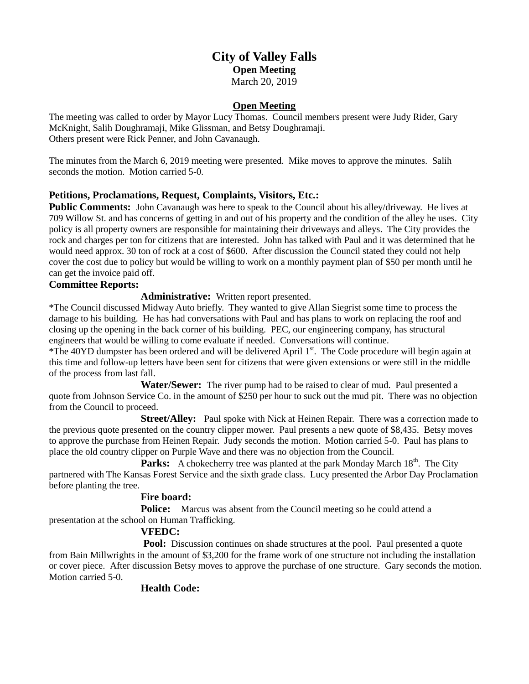# **City of Valley Falls Open Meeting** March 20, 2019

## **Open Meeting**

The meeting was called to order by Mayor Lucy Thomas. Council members present were Judy Rider, Gary McKnight, Salih Doughramaji, Mike Glissman, and Betsy Doughramaji. Others present were Rick Penner, and John Cavanaugh.

The minutes from the March 6, 2019 meeting were presented. Mike moves to approve the minutes. Salih seconds the motion. Motion carried 5-0.

## **Petitions, Proclamations, Request, Complaints, Visitors, Etc.:**

**Public Comments:** John Cavanaugh was here to speak to the Council about his alley/driveway. He lives at 709 Willow St. and has concerns of getting in and out of his property and the condition of the alley he uses. City policy is all property owners are responsible for maintaining their driveways and alleys. The City provides the rock and charges per ton for citizens that are interested. John has talked with Paul and it was determined that he would need approx. 30 ton of rock at a cost of \$600. After discussion the Council stated they could not help cover the cost due to policy but would be willing to work on a monthly payment plan of \$50 per month until he can get the invoice paid off.

#### **Committee Reports:**

**Administrative:** Written report presented.

\*The Council discussed Midway Auto briefly. They wanted to give Allan Siegrist some time to process the damage to his building. He has had conversations with Paul and has plans to work on replacing the roof and closing up the opening in the back corner of his building. PEC, our engineering company, has structural engineers that would be willing to come evaluate if needed. Conversations will continue.

\*The 40YD dumpster has been ordered and will be delivered April  $1<sup>st</sup>$ . The Code procedure will begin again at this time and follow-up letters have been sent for citizens that were given extensions or were still in the middle of the process from last fall.

**Water/Sewer:** The river pump had to be raised to clear of mud. Paul presented a quote from Johnson Service Co. in the amount of \$250 per hour to suck out the mud pit. There was no objection from the Council to proceed.

**Street/Alley:** Paul spoke with Nick at Heinen Repair. There was a correction made to the previous quote presented on the country clipper mower. Paul presents a new quote of \$8,435. Betsy moves to approve the purchase from Heinen Repair. Judy seconds the motion. Motion carried 5-0. Paul has plans to place the old country clipper on Purple Wave and there was no objection from the Council.

**Parks:** A chokecherry tree was planted at the park Monday March 18<sup>th</sup>. The City partnered with The Kansas Forest Service and the sixth grade class. Lucy presented the Arbor Day Proclamation before planting the tree.

#### **Fire board:**

**Police:** Marcus was absent from the Council meeting so he could attend a presentation at the school on Human Trafficking.

# **VFEDC:**

**Pool:** Discussion continues on shade structures at the pool. Paul presented a quote from Bain Millwrights in the amount of \$3,200 for the frame work of one structure not including the installation or cover piece. After discussion Betsy moves to approve the purchase of one structure. Gary seconds the motion. Motion carried 5-0.

# **Health Code:**